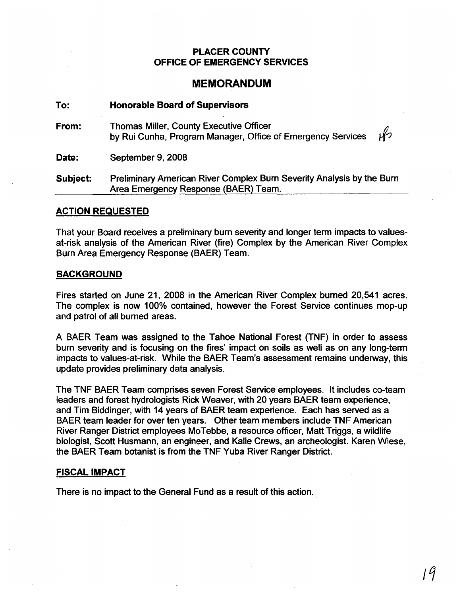## PLACER COUNTY OFFICE OF EMERGENCY SERVICES

# MEMORANDUM

| To:      | <b>Honorable Board of Supervisors</b>                                                                         |               |
|----------|---------------------------------------------------------------------------------------------------------------|---------------|
| From:    | <b>Thomas Miller, County Executive Officer</b><br>by Rui Cunha, Program Manager, Office of Emergency Services | $\mathscr{L}$ |
| Date:    | September 9, 2008                                                                                             |               |
| Subject: | Preliminary American River Complex Burn Severity Analysis by the Burn<br>Area Emergency Response (BAER) Team. |               |

### ACTION REQUESTED

That your Board receives a preliminary burn severity and longer term impacts to valuesat-risk analysis of the American River (fire) Complex by the American River Complex Burn Area Emergency Response (BAER) Team.

#### BACKGROUND

Fires started on June 21, 2008 in the American River Complex burned 20,541 acres. The complex is now 100% contained, however the Forest Service continues mop-up and patrol of all burned areas.

A BAER Team was assigned to the Tahoe National Forest (TNF) in order to assess burn severity and is focusing on the fires' impact on soils as well as on any long-term impacts to values-at-risk. While the BAER Team's assessment remains underway, this update provides preliminary data analysis.

The TNF BAER Team comprises seven Forest Service employees. It includes co-team leaders and forest hydrologists Rick Weaver, with 20 years BAER team experience, and Tim Biddinger, with 14 years of BAER team experience. Each has served as a BAER team leader for over ten years. Other team members include TNF American River Ranger District employees MoTebbe, a resource officer, Matt Triggs, a wildlife biologist, Scott Husmann, an engineer, and Kalie Crews, an archeologist. Karen Wiese, the BAER Team botanist is from the TNF Yuba River Ranger District.

### FISCAL IMPACT

There is no impact to the General Fund as a result of this action.